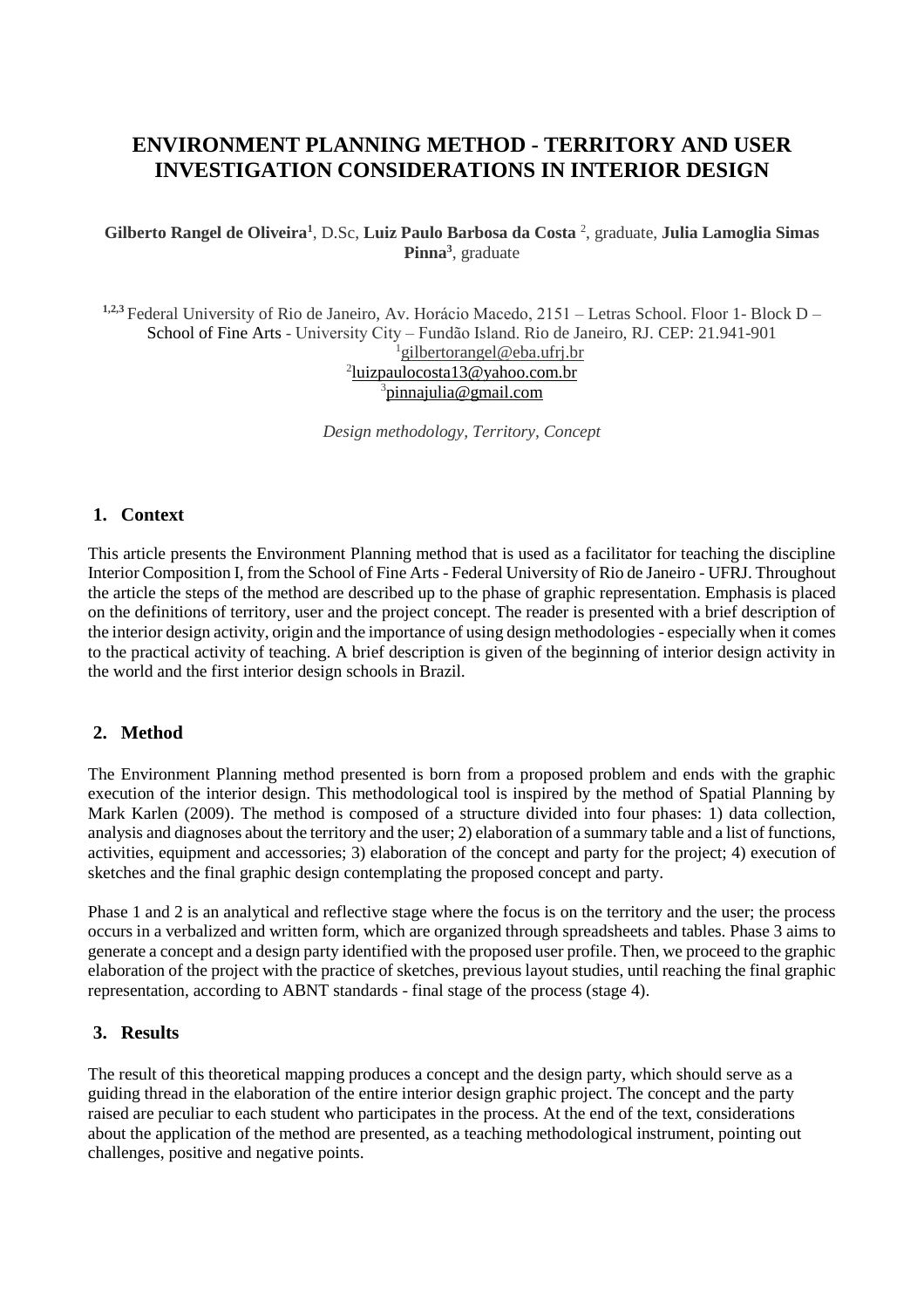# **ENVIRONMENT PLANNING METHOD - TERRITORY AND USER INVESTIGATION CONSIDERATIONS IN INTERIOR DESIGN**

**Gilberto Rangel de Oliveira<sup>1</sup>** , D.Sc, **Luiz Paulo Barbosa da Costa** <sup>2</sup> , graduate, **Julia Lamoglia Simas Pinna<sup>3</sup>** , graduate

**1,2,3** Federal University of Rio de Janeiro, Av. Horácio Macedo, 2151 – Letras School. Floor 1- Block D – School of Fine Arts - University City – Fundão Island. Rio de Janeiro, RJ. CEP: 21.941-901 <sup>1</sup>gilbertorangel@eba.ufrj.br 2 [luizpaulocosta13@yahoo.com.br](mailto:luizpaulocosta13@yahoo.com.br) <sup>3</sup>pinnajulia@gmail.com

*Design methodology, Territory, Concept*

### **1. Context**

This article presents the Environment Planning method that is used as a facilitator for teaching the discipline Interior Composition I, from the School of Fine Arts - Federal University of Rio de Janeiro - UFRJ. Throughout the article the steps of the method are described up to the phase of graphic representation. Emphasis is placed on the definitions of territory, user and the project concept. The reader is presented with a brief description of the interior design activity, origin and the importance of using design methodologies - especially when it comes to the practical activity of teaching. A brief description is given of the beginning of interior design activity in the world and the first interior design schools in Brazil.

### **2. Method**

The Environment Planning method presented is born from a proposed problem and ends with the graphic execution of the interior design. This methodological tool is inspired by the method of Spatial Planning by Mark Karlen (2009). The method is composed of a structure divided into four phases: 1) data collection, analysis and diagnoses about the territory and the user; 2) elaboration of a summary table and a list of functions, activities, equipment and accessories; 3) elaboration of the concept and party for the project; 4) execution of sketches and the final graphic design contemplating the proposed concept and party.

Phase 1 and 2 is an analytical and reflective stage where the focus is on the territory and the user; the process occurs in a verbalized and written form, which are organized through spreadsheets and tables. Phase 3 aims to generate a concept and a design party identified with the proposed user profile. Then, we proceed to the graphic elaboration of the project with the practice of sketches, previous layout studies, until reaching the final graphic representation, according to ABNT standards - final stage of the process (stage 4).

### **3. Results**

The result of this theoretical mapping produces a concept and the design party, which should serve as a guiding thread in the elaboration of the entire interior design graphic project. The concept and the party raised are peculiar to each student who participates in the process. At the end of the text, considerations about the application of the method are presented, as a teaching methodological instrument, pointing out challenges, positive and negative points.